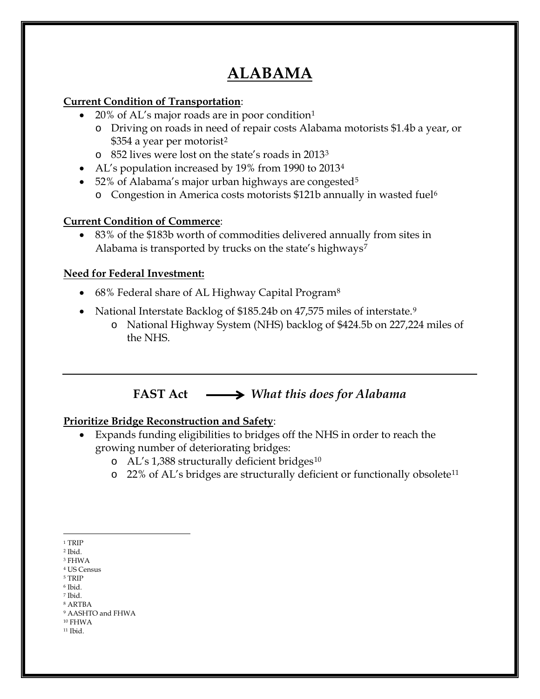# **ALABAMA**

#### **Current Condition of Transportation**:

- 20% of AL's major roads are in poor condition<sup>[1](#page-0-0)</sup>
	- o Driving on roads in need of repair costs Alabama motorists \$1.4b a year, or \$354 a year per motorist<sup>[2](#page-0-1)</sup>
	- o 852 lives were lost on the state's roads in 2013[3](#page-0-2)
- AL's population increased by 19% from 1990 to 2013[4](#page-0-3)
- [5](#page-0-4)2% of Alabama's major urban highways are congested<sup>5</sup>
	- o Congestion in America costs motorists \$121b annually in wasted fuel[6](#page-0-5)

## **Current Condition of Commerce**:

• 83% of the \$183b worth of commodities delivered annually from sites in Alabama is transported by trucks on the state's highways<sup>[7](#page-0-6)</sup>

## **Need for Federal Investment:**

- 6[8](#page-0-7)% Federal share of AL Highway Capital Program<sup>8</sup>
- National Interstate Backlog of \$185.24b on 47,575 miles of interstate.[9](#page-0-8)
	- o National Highway System (NHS) backlog of \$424.5b on 227,224 miles of the NHS.

# **FAST Act** *What this does for Alabama*

# **Prioritize Bridge Reconstruction and Safety**:

- Expands funding eligibilities to bridges off the NHS in order to reach the growing number of deteriorating bridges:
	- o AL's 1,388 structurally deficient bridges<sup>[10](#page-0-9)</sup>
	- o 22% of AL's bridges are structurally deficient or functionally obsolete<sup>[11](#page-0-10)</sup>

<span id="page-0-6"></span><span id="page-0-5"></span><sup>6</sup> Ibid. <sup>7</sup> Ibid.

<span id="page-0-10"></span><span id="page-0-9"></span><sup>10</sup> FHWA <sup>11</sup> Ibid.

 $\overline{a}$ <sup>1</sup> TRIP

<span id="page-0-1"></span><span id="page-0-0"></span><sup>2</sup> Ibid.

<span id="page-0-3"></span><span id="page-0-2"></span><sup>3</sup> FHWA

<sup>4</sup> US Census

<span id="page-0-4"></span><sup>5</sup> TRIP

<span id="page-0-7"></span><sup>8</sup> ARTBA

<span id="page-0-8"></span><sup>9</sup> AASHTO and FHWA